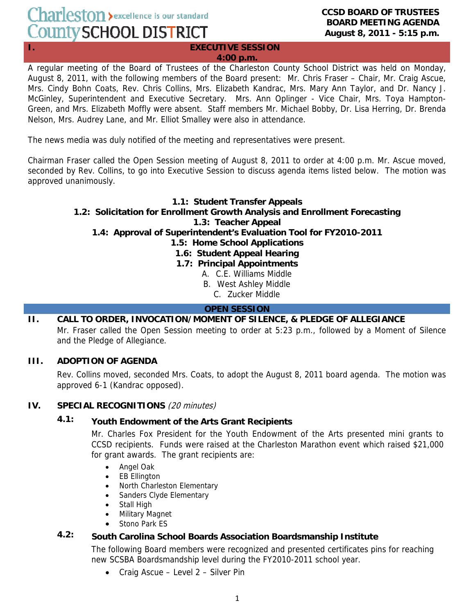# Charleston > excellence is our standard County SCHOOL DISTRICT

#### **CCSD BOARD OF TRUSTEES BOARD MEETING AGENDA August 8, 2011 - 5:15 p.m.**

**I. EXECUTIVE SESSION** 

#### **4:00 p.m.**

A regular meeting of the Board of Trustees of the Charleston County School District was held on Monday, August 8, 2011, with the following members of the Board present: Mr. Chris Fraser – Chair, Mr. Craig Ascue, Mrs. Cindy Bohn Coats, Rev. Chris Collins, Mrs. Elizabeth Kandrac, Mrs. Mary Ann Taylor, and Dr. Nancy J. McGinley, Superintendent and Executive Secretary. Mrs. Ann Oplinger - Vice Chair, Mrs. Toya Hampton-Green, and Mrs. Elizabeth Moffly were absent. Staff members Mr. Michael Bobby, Dr. Lisa Herring, Dr. Brenda Nelson, Mrs. Audrey Lane, and Mr. Elliot Smalley were also in attendance.

The news media was duly notified of the meeting and representatives were present.

Chairman Fraser called the Open Session meeting of August 8, 2011 to order at 4:00 p.m. Mr. Ascue moved, seconded by Rev. Collins, to go into Executive Session to discuss agenda items listed below. The motion was approved unanimously.

# **1.1: Student Transfer Appeals**

# **1.2: Solicitation for Enrollment Growth Analysis and Enrollment Forecasting**

**1.3: Teacher Appeal** 

## **1.4: Approval of Superintendent's Evaluation Tool for FY2010-2011**

# **1.5: Home School Applications**

# **1.6: Student Appeal Hearing**

- **1.7: Principal Appointments** 
	- A. C.E. Williams Middle
		- B. West Ashley Middle
			- C. Zucker Middle

## **OPEN SESSION**

**II. CALL TO ORDER, INVOCATION/MOMENT OF SILENCE, & PLEDGE OF ALLEGIANCE**

Mr. Fraser called the Open Session meeting to order at 5:23 p.m., followed by a Moment of Silence and the Pledge of Allegiance.

## **III. ADOPTION OF AGENDA**

Rev. Collins moved, seconded Mrs. Coats, to adopt the August 8, 2011 board agenda. The motion was approved 6-1 (Kandrac opposed).

## **IV. SPECIAL RECOGNITIONS** (20 minutes)

# **4.1: Youth Endowment of the Arts Grant Recipients**

Mr. Charles Fox President for the Youth Endowment of the Arts presented mini grants to CCSD recipients. Funds were raised at the Charleston Marathon event which raised \$21,000 for grant awards. The grant recipients are:

- Angel Oak
- **EB Ellington**
- North Charleston Elementary
- Sanders Clyde Elementary
- **Stall High**
- Military Magnet
- Stono Park ES

# **4.2: South Carolina School Boards Association Boardsmanship Institute**

The following Board members were recognized and presented certificates pins for reaching new SCSBA Boardsmandship level during the FY2010-2011 school year.

• Craig Ascue – Level 2 – Silver Pin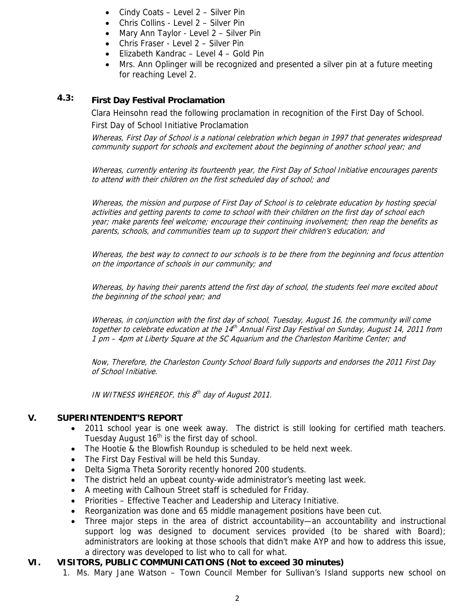- Cindy Coats Level 2 Silver Pin
- Chris Collins Level 2 Silver Pin
- Mary Ann Taylor Level 2 Silver Pin
- Chris Fraser Level 2 Silver Pin
- Elizabeth Kandrac Level 4 Gold Pin
- Mrs. Ann Oplinger will be recognized and presented a silver pin at a future meeting for reaching Level 2.

# **4.3: First Day Festival Proclamation**

Clara Heinsohn read the following proclamation in recognition of the First Day of School.

First Day of School Initiative Proclamation

Whereas, First Day of School is a national celebration which began in 1997 that generates widespread community support for schools and excitement about the beginning of another school year; and

Whereas, currently entering its fourteenth year, the First Day of School Initiative encourages parents to attend with their children on the first scheduled day of school; and

Whereas, the mission and purpose of First Day of School is to celebrate education by hosting special activities and getting parents to come to school with their children on the first day of school each year; make parents feel welcome; encourage their continuing involvement; then reap the benefits as parents, schools, and communities team up to support their children's education; and

Whereas, the best way to connect to our schools is to be there from the beginning and focus attention on the importance of schools in our community; and

Whereas, by having their parents attend the first day of school, the students feel more excited about the beginning of the school year; and

Whereas, in conjunction with the first day of school, Tuesday, August 16, the community will come together to celebrate education at the 14<sup>th</sup> Annual First Day Festival on Sunday, August 14, 2011 from 1 pm – 4pm at Liberty Square at the SC Aquarium and the Charleston Maritime Center; and

Now, Therefore, the Charleston County School Board fully supports and endorses the 2011 First Day of School Initiative.

IN WITNESS WHEREOF, this  $8<sup>th</sup>$  day of August 2011.

## **V. SUPERINTENDENT'S REPORT**

- 2011 school year is one week away. The district is still looking for certified math teachers. Tuesday August  $16<sup>th</sup>$  is the first day of school.
- The Hootie & the Blowfish Roundup is scheduled to be held next week.
- The First Day Festival will be held this Sunday.
- Delta Sigma Theta Sorority recently honored 200 students.
- The district held an upbeat county-wide administrator's meeting last week.
- A meeting with Calhoun Street staff is scheduled for Friday.
- Priorities Effective Teacher and Leadership and Literacy Initiative.
- Reorganization was done and 65 middle management positions have been cut.
- Three major steps in the area of district accountability—an accountability and instructional support log was designed to document services provided (to be shared with Board); administrators are looking at those schools that didn't make AYP and how to address this issue, a directory was developed to list who to call for what.

#### **VI. VISITORS, PUBLIC COMMUNICATIONS (Not to exceed 30 minutes)**

1. Ms. Mary Jane Watson – Town Council Member for Sullivan's Island supports new school on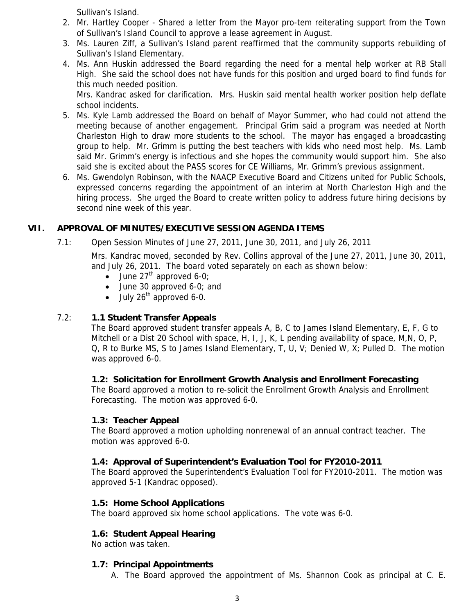Sullivan's Island.

- 2. Mr. Hartley Cooper Shared a letter from the Mayor pro-tem reiterating support from the Town of Sullivan's Island Council to approve a lease agreement in August.
- 3. Ms. Lauren Ziff, a Sullivan's Island parent reaffirmed that the community supports rebuilding of Sullivan's Island Elementary.
- 4. Ms. Ann Huskin addressed the Board regarding the need for a mental help worker at RB Stall High. She said the school does not have funds for this position and urged board to find funds for this much needed position.

Mrs. Kandrac asked for clarification. Mrs. Huskin said mental health worker position help deflate school incidents.

- 5. Ms. Kyle Lamb addressed the Board on behalf of Mayor Summer, who had could not attend the meeting because of another engagement. Principal Grim said a program was needed at North Charleston High to draw more students to the school. The mayor has engaged a broadcasting group to help. Mr. Grimm is putting the best teachers with kids who need most help. Ms. Lamb said Mr. Grimm's energy is infectious and she hopes the community would support him. She also said she is excited about the PASS scores for CE Williams, Mr. Grimm's previous assignment.
- 6. Ms. Gwendolyn Robinson, with the NAACP Executive Board and Citizens united for Public Schools, expressed concerns regarding the appointment of an interim at North Charleston High and the hiring process. She urged the Board to create written policy to address future hiring decisions by second nine week of this year.

# **VII. APPROVAL OF MINUTES/EXECUTIVE SESSION AGENDA ITEMS**

7.1: Open Session Minutes of June 27, 2011, June 30, 2011, and July 26, 2011

 Mrs. Kandrac moved, seconded by Rev. Collins approval of the June 27, 2011, June 30, 2011, and July 26, 2011. The board voted separately on each as shown below:

- June  $27<sup>th</sup>$  approved 6-0;
- June 30 approved 6-0; and
- July  $26^{th}$  approved 6-0.

# 7.2: **1.1 Student Transfer Appeals**

The Board approved student transfer appeals A, B, C to James Island Elementary, E, F, G to Mitchell or a Dist 20 School with space, H, I, J, K, L pending availability of space, M,N, O, P, Q, R to Burke MS, S to James Island Elementary, T, U, V; Denied W, X; Pulled D. The motion was approved 6-0.

## **1.2: Solicitation for Enrollment Growth Analysis and Enrollment Forecasting**

The Board approved a motion to re-solicit the Enrollment Growth Analysis and Enrollment Forecasting. The motion was approved 6-0.

## **1.3: Teacher Appeal**

The Board approved a motion upholding nonrenewal of an annual contract teacher. The motion was approved 6-0.

## **1.4: Approval of Superintendent's Evaluation Tool for FY2010-2011**

The Board approved the Superintendent's Evaluation Tool for FY2010-2011. The motion was approved 5-1 (Kandrac opposed).

## **1.5: Home School Applications**

The board approved six home school applications. The vote was 6-0.

## **1.6: Student Appeal Hearing**

No action was taken.

## **1.7: Principal Appointments**

A. The Board approved the appointment of Ms. Shannon Cook as principal at C. E.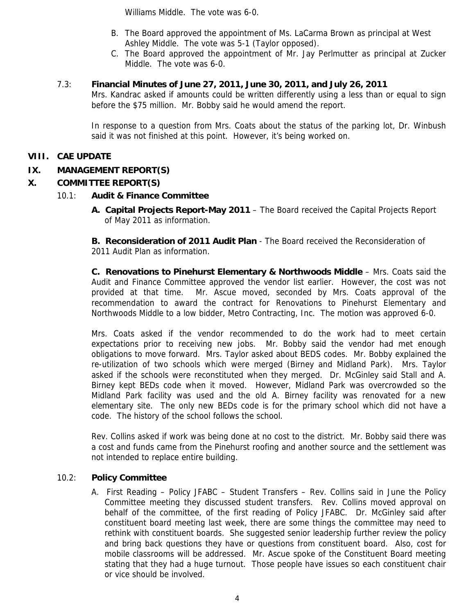Williams Middle. The vote was 6-0.

- B. The Board approved the appointment of Ms. LaCarma Brown as principal at West Ashley Middle. The vote was 5-1 (Taylor opposed).
- C. The Board approved the appointment of Mr. Jay Perlmutter as principal at Zucker Middle. The vote was 6-0.
- 7.3: **Financial Minutes of June 27, 2011, June 30, 2011, and July 26, 2011**  Mrs. Kandrac asked if amounts could be written differently using a less than or equal to sign before the \$75 million. Mr. Bobby said he would amend the report.

In response to a question from Mrs. Coats about the status of the parking lot, Dr. Winbush said it was not finished at this point. However, it's being worked on.

#### **VIII. CAE UPDATE**

#### **IX. MANAGEMENT REPORT(S)**

#### **X. COMMITTEE REPORT(S)**

#### 10.1: **Audit & Finance Committee**

**A. Capital Projects Report-May 2011** – The Board received the Capital Projects Report of May 2011 as information.

**B. Reconsideration of 2011 Audit Plan** - The Board received the Reconsideration of 2011 Audit Plan as information.

**C. Renovations to Pinehurst Elementary & Northwoods Middle** – Mrs. Coats said the Audit and Finance Committee approved the vendor list earlier. However, the cost was not provided at that time. Mr. Ascue moved, seconded by Mrs. Coats approval of the recommendation to award the contract for Renovations to Pinehurst Elementary and Northwoods Middle to a low bidder, Metro Contracting, Inc. The motion was approved 6-0.

Mrs. Coats asked if the vendor recommended to do the work had to meet certain expectations prior to receiving new jobs. Mr. Bobby said the vendor had met enough obligations to move forward. Mrs. Taylor asked about BEDS codes. Mr. Bobby explained the re-utilization of two schools which were merged (Birney and Midland Park). Mrs. Taylor asked if the schools were reconstituted when they merged. Dr. McGinley said Stall and A. Birney kept BEDs code when it moved. However, Midland Park was overcrowded so the Midland Park facility was used and the old A. Birney facility was renovated for a new elementary site. The only new BEDs code is for the primary school which did not have a code. The history of the school follows the school.

Rev. Collins asked if work was being done at no cost to the district. Mr. Bobby said there was a cost and funds came from the Pinehurst roofing and another source and the settlement was not intended to replace entire building.

#### 10.2: **Policy Committee**

 A. First Reading – Policy JFABC – Student Transfers – Rev. Collins said in June the Policy Committee meeting they discussed student transfers. Rev. Collins moved approval on behalf of the committee, of the first reading of Policy JFABC. Dr. McGinley said after constituent board meeting last week, there are some things the committee may need to rethink with constituent boards. She suggested senior leadership further review the policy and bring back questions they have or questions from constituent board. Also, cost for mobile classrooms will be addressed. Mr. Ascue spoke of the Constituent Board meeting stating that they had a huge turnout. Those people have issues so each constituent chair or vice should be involved.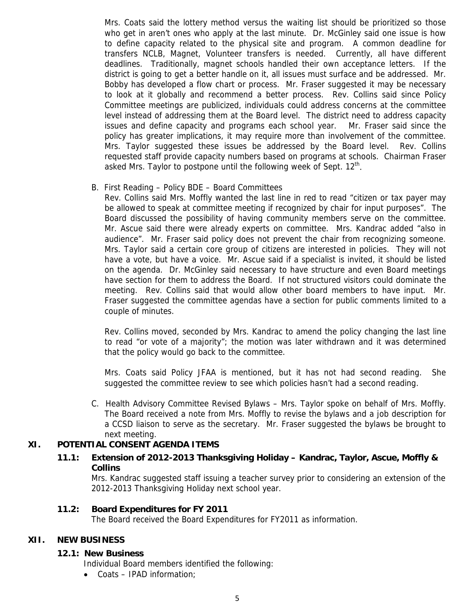Mrs. Coats said the lottery method versus the waiting list should be prioritized so those who get in aren't ones who apply at the last minute. Dr. McGinley said one issue is how to define capacity related to the physical site and program. A common deadline for transfers NCLB, Magnet, Volunteer transfers is needed. Currently, all have different deadlines. Traditionally, magnet schools handled their own acceptance letters. If the district is going to get a better handle on it, all issues must surface and be addressed. Mr. Bobby has developed a flow chart or process. Mr. Fraser suggested it may be necessary to look at it globally and recommend a better process. Rev. Collins said since Policy Committee meetings are publicized, individuals could address concerns at the committee level instead of addressing them at the Board level. The district need to address capacity issues and define capacity and programs each school year. Mr. Fraser said since the policy has greater implications, it may require more than involvement of the committee. Mrs. Taylor suggested these issues be addressed by the Board level. Rev. Collins requested staff provide capacity numbers based on programs at schools. Chairman Fraser asked Mrs. Taylor to postpone until the following week of Sept.  $12<sup>th</sup>$ .

B. First Reading – Policy BDE – Board Committees

Rev. Collins said Mrs. Moffly wanted the last line in red to read "citizen or tax payer may be allowed to speak at committee meeting if recognized by chair for input purposes". The Board discussed the possibility of having community members serve on the committee. Mr. Ascue said there were already experts on committee. Mrs. Kandrac added "also in audience". Mr. Fraser said policy does not prevent the chair from recognizing someone. Mrs. Taylor said a certain core group of citizens are interested in policies. They will not have a vote, but have a voice. Mr. Ascue said if a specialist is invited, it should be listed on the agenda. Dr. McGinley said necessary to have structure and even Board meetings have section for them to address the Board. If not structured visitors could dominate the meeting. Rev. Collins said that would allow other board members to have input. Mr. Fraser suggested the committee agendas have a section for public comments limited to a couple of minutes.

Rev. Collins moved, seconded by Mrs. Kandrac to amend the policy changing the last line to read "or vote of a majority"; the motion was later withdrawn and it was determined that the policy would go back to the committee.

Mrs. Coats said Policy JFAA is mentioned, but it has not had second reading. She suggested the committee review to see which policies hasn't had a second reading.

 C. Health Advisory Committee Revised Bylaws – Mrs. Taylor spoke on behalf of Mrs. Moffly. The Board received a note from Mrs. Moffly to revise the bylaws and a job description for a CCSD liaison to serve as the secretary. Mr. Fraser suggested the bylaws be brought to next meeting.

# **XI. POTENTIAL CONSENT AGENDA ITEMS**

#### **11.1: Extension of 2012-2013 Thanksgiving Holiday – Kandrac, Taylor, Ascue, Moffly & Collins**

Mrs. Kandrac suggested staff issuing a teacher survey prior to considering an extension of the 2012-2013 Thanksgiving Holiday next school year.

#### **11.2: Board Expenditures for FY 2011**

The Board received the Board Expenditures for FY2011 as information.

#### **XII. NEW BUSINESS**

#### **12.1: New Business**

Individual Board members identified the following:

• Coats – IPAD information;